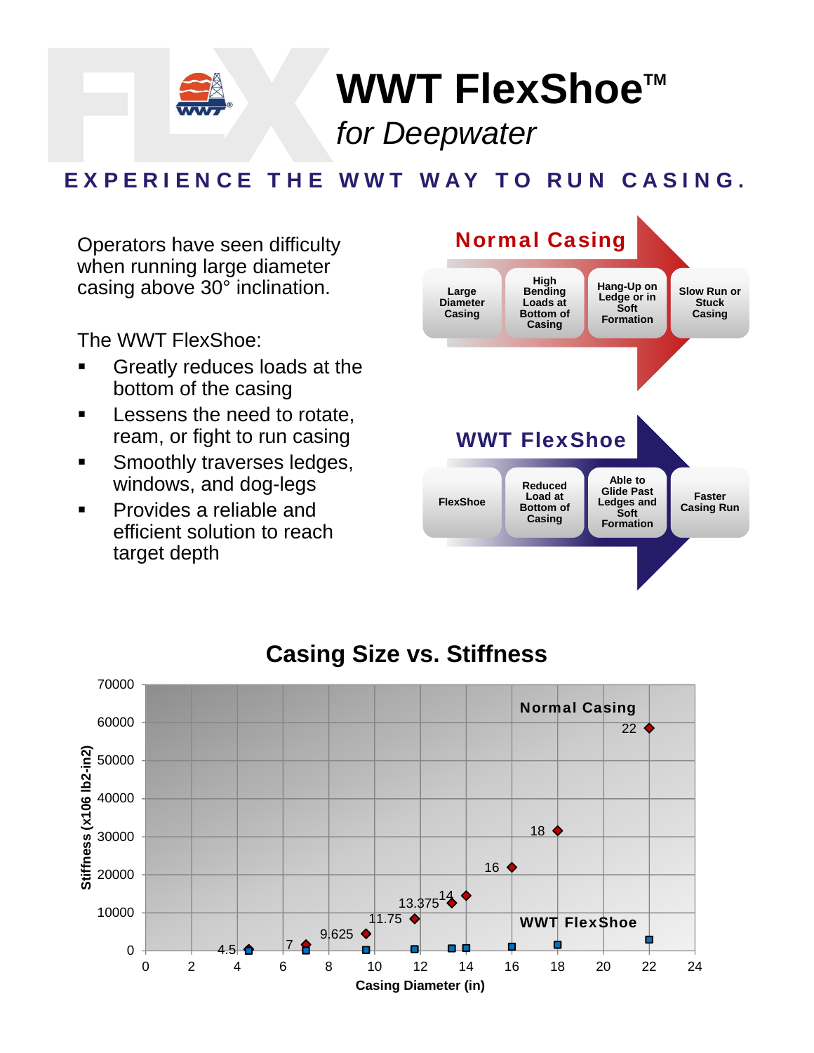

**WWT FlexShoe™** 

*for Deepwater*

## EXPERIENCE THE WWT WAY TO RUN CASING.

Operators have seen difficulty when running large diameter casing above 30° inclination.

The WWT FlexShoe:

- **Greatly reduces loads at the** bottom of the casing
- **Lessens the need to rotate,** ream, or fight to run casing
- **Smoothly traverses ledges,** windows, and dog-legs
- **Provides a reliable and** efficient solution to reach target depth





## **Casing Size vs. Stiffness**